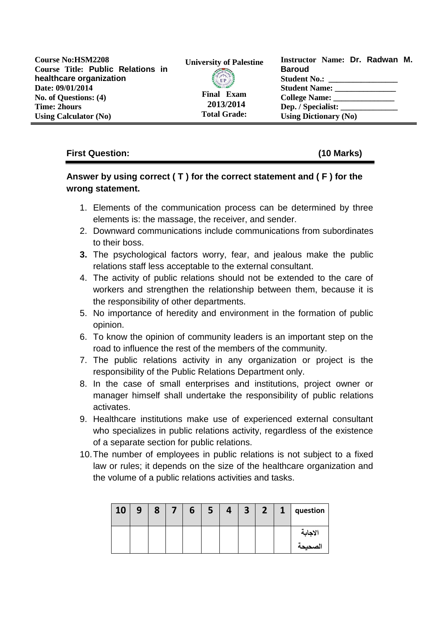| <b>Course No:HSM2208</b><br>Course Title: Public Relations in | <b>University of Palestine</b> | Instructor Name: Dr. Radwan M.<br><b>Baroud</b> |  |  |  |
|---------------------------------------------------------------|--------------------------------|-------------------------------------------------|--|--|--|
|                                                               |                                |                                                 |  |  |  |
| healthcare organization                                       | <b>CP</b>                      |                                                 |  |  |  |
| Date: 09/01/2014                                              |                                | <b>Student Name:</b>                            |  |  |  |
| No. of Questions: (4)                                         | <b>Final Exam</b>              | College Name:                                   |  |  |  |
| <b>Time: 2hours</b>                                           | 2013/2014                      | Dep. / Specialist:                              |  |  |  |
| <b>Using Calculator (No)</b>                                  | <b>Total Grade:</b>            | <b>Using Dictionary (No)</b>                    |  |  |  |

### **First Question: (10 Marks)**

## **Answer by using correct ( T ) for the correct statement and ( F ) for the wrong statement.**

- 1. Elements of the communication process can be determined by three elements is: the massage, the receiver, and sender.
- 2. Downward communications include communications from subordinates to their boss.
- **3.** The psychological factors worry, fear, and jealous make the public relations staff less acceptable to the external consultant.
- 4. The activity of public relations should not be extended to the care of workers and strengthen the relationship between them, because it is the responsibility of other departments.
- 5. No importance of heredity and environment in the formation of public opinion.
- 6. To know the opinion of community leaders is an important step on the road to influence the rest of the members of the community.
- 7. The public relations activity in any organization or project is the responsibility of the Public Relations Department only.
- 8. In the case of small enterprises and institutions, project owner or manager himself shall undertake the responsibility of public relations activates.
- 9. Healthcare institutions make use of experienced external consultant who specializes in public relations activity, regardless of the existence of a separate section for public relations.
- 10.The number of employees in public relations is not subject to a fixed law or rules; it depends on the size of the healthcare organization and the volume of a public relations activities and tasks.

| 10 | 9 | 8 | b | 4 | 3 <sup>7</sup> | $\overline{2}$ | 1 | question |
|----|---|---|---|---|----------------|----------------|---|----------|
|    |   |   |   |   |                |                |   | الاجابة  |
|    |   |   |   |   |                |                |   | الصحيحة  |